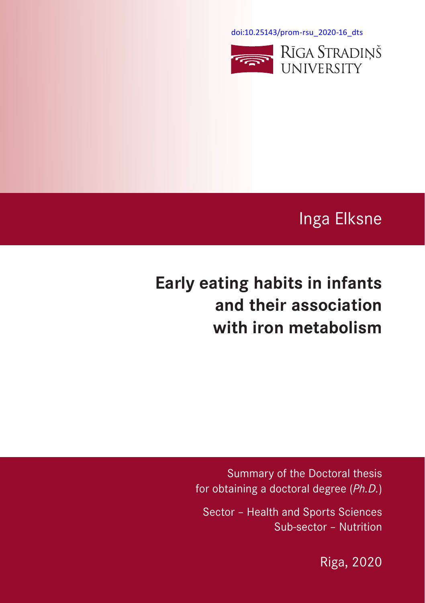#### doi:10.25143/prom-rsu 2020-16-dts



# Inga Elksne

# Early eating habits in infants and their association with iron metabolism

Summary of the Doctoral thesis for obtaining a doctoral degree (Ph.D.)

Sector - Health and Sports Sciences Sub-sector - Nutrition

**Riga, 2020**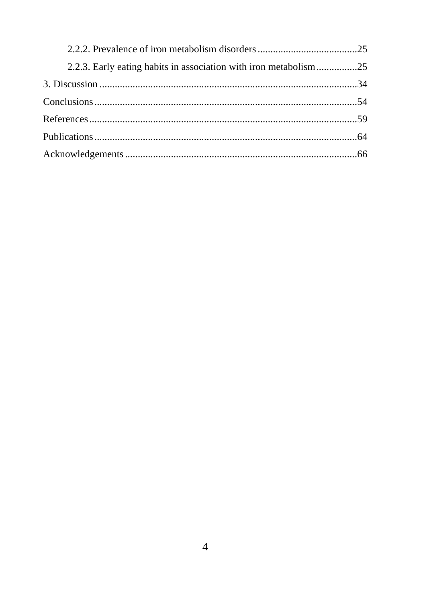| 2.2.3. Early eating habits in association with iron metabolism 25 |  |
|-------------------------------------------------------------------|--|
|                                                                   |  |
|                                                                   |  |
|                                                                   |  |
|                                                                   |  |
|                                                                   |  |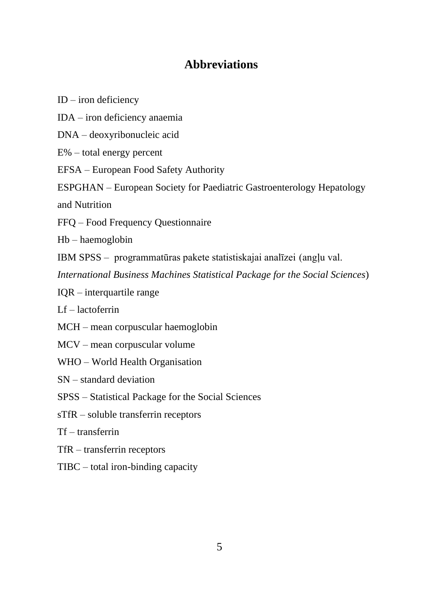## **Abbreviations**

- ID iron deficiency
- IDA iron deficiency anaemia
- DNA deoxyribonucleic acid
- E% total energy percent
- EFSA European Food Safety Authority
- ESPGHAN European Society for Paediatric Gastroenterology Hepatology
- and Nutrition
- FFQ Food Frequency Questionnaire
- Hb haemoglobin
- IBM SPSS programmatūras pakete statistiskajai analīzei (angļu val.
- *International Business Machines Statistical Package for the Social Sciences*)
- IQR interquartile range
- Lf lactoferrin
- MCH mean corpuscular haemoglobin
- MCV mean corpuscular volume
- WHO World Health Organisation
- SN standard deviation
- SPSS Statistical Package for the Social Sciences
- sTfR soluble transferrin receptors
- Tf transferrin
- TfR transferrin receptors
- TIBC total iron-binding capacity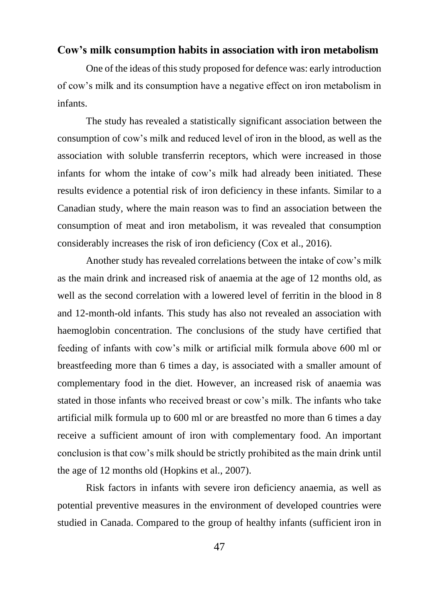



# **Inga Elksne**

Early eating habits in infants and their association with iron metabolism

> Summary of the Doctoral thesis for obtaining a doctoral degree (Ph.D.)

Sector - Health and Sports Sciences Sub-sector - Nutrition

**Riga, 2020**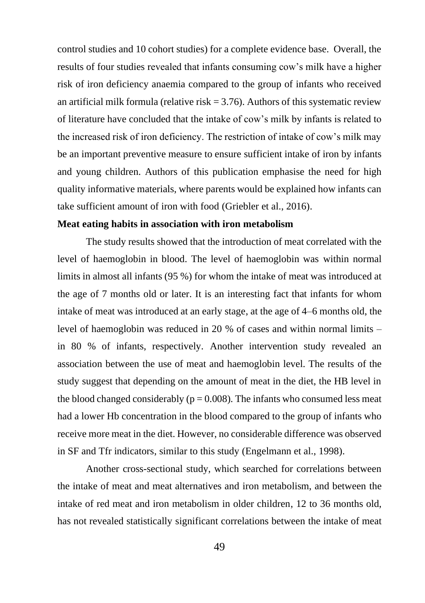control studies and 10 cohort studies) for a complete evidence base. Overall, the results of four studies revealed that infants consuming cow's milk have a higher risk of iron deficiency anaemia compared to the group of infants who received an artificial milk formula (relative risk  $= 3.76$ ). Authors of this systematic review of literature have concluded that the intake of cow's milk by infants is related to the increased risk of iron deficiency. The restriction of intake of cow's milk may be an important preventive measure to ensure sufficient intake of iron by infants and young children. Authors of this publication emphasise the need for high quality informative materials, where parents would be explained how infants can take sufficient amount of iron with food (Griebler et al., 2016).

### **Meat eating habits in association with iron metabolism**

The study results showed that the introduction of meat correlated with the level of haemoglobin in blood. The level of haemoglobin was within normal limits in almost all infants (95 %) for whom the intake of meat was introduced at the age of 7 months old or later. It is an interesting fact that infants for whom intake of meat was introduced at an early stage, at the age of 4–6 months old, the level of haemoglobin was reduced in 20 % of cases and within normal limits – in 80 % of infants, respectively. Another intervention study revealed an association between the use of meat and haemoglobin level. The results of the study suggest that depending on the amount of meat in the diet, the HB level in the blood changed considerably ( $p = 0.008$ ). The infants who consumed less meat had a lower Hb concentration in the blood compared to the group of infants who receive more meat in the diet. However, no considerable difference was observed in SF and Tfr indicators, similar to this study (Engelmann et al., 1998).

Another cross-sectional study, which searched for correlations between the intake of meat and meat alternatives and iron metabolism, and between the intake of red meat and iron metabolism in older children, 12 to 36 months old, has not revealed statistically significant correlations between the intake of meat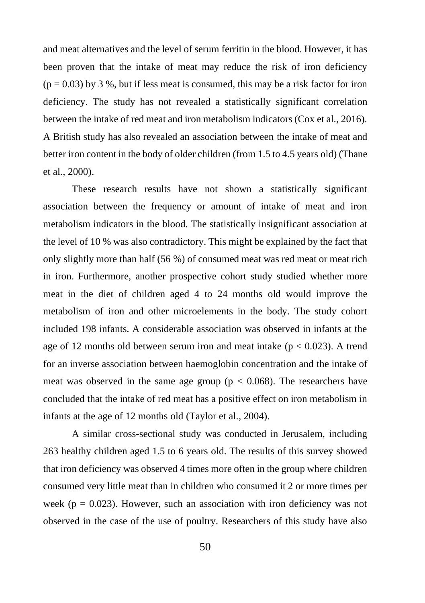and meat alternatives and the level of serum ferritin in the blood. However, it has been proven that the intake of meat may reduce the risk of iron deficiency  $(p = 0.03)$  by 3 %, but if less meat is consumed, this may be a risk factor for iron deficiency. The study has not revealed a statistically significant correlation between the intake of red meat and iron metabolism indicators (Cox et al., 2016). A British study has also revealed an association between the intake of meat and better iron content in the body of older children (from 1.5 to 4.5 years old) (Thane et al., 2000).

These research results have not shown a statistically significant association between the frequency or amount of intake of meat and iron metabolism indicators in the blood. The statistically insignificant association at the level of 10 % was also contradictory. This might be explained by the fact that only slightly more than half (56 %) of consumed meat was red meat or meat rich in iron. Furthermore, another prospective cohort study studied whether more meat in the diet of children aged 4 to 24 months old would improve the metabolism of iron and other microelements in the body. The study cohort included 198 infants. A considerable association was observed in infants at the age of 12 months old between serum iron and meat intake ( $p < 0.023$ ). A trend for an inverse association between haemoglobin concentration and the intake of meat was observed in the same age group ( $p < 0.068$ ). The researchers have concluded that the intake of red meat has a positive effect on iron metabolism in infants at the age of 12 months old (Taylor et al., 2004).

A similar cross-sectional study was conducted in Jerusalem, including 263 healthy children aged 1.5 to 6 years old. The results of this survey showed that iron deficiency was observed 4 times more often in the group where children consumed very little meat than in children who consumed it 2 or more times per week ( $p = 0.023$ ). However, such an association with iron deficiency was not observed in the case of the use of poultry. Researchers of this study have also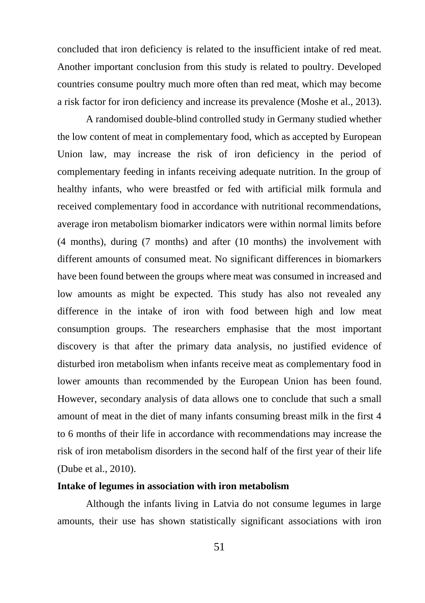concluded that iron deficiency is related to the insufficient intake of red meat. Another important conclusion from this study is related to poultry. Developed countries consume poultry much more often than red meat, which may become a risk factor for iron deficiency and increase its prevalence (Moshe et al., 2013).

A randomised double-blind controlled study in Germany studied whether the low content of meat in complementary food, which as accepted by European Union law, may increase the risk of iron deficiency in the period of complementary feeding in infants receiving adequate nutrition. In the group of healthy infants, who were breastfed or fed with artificial milk formula and received complementary food in accordance with nutritional recommendations, average iron metabolism biomarker indicators were within normal limits before (4 months), during (7 months) and after (10 months) the involvement with different amounts of consumed meat. No significant differences in biomarkers have been found between the groups where meat was consumed in increased and low amounts as might be expected. This study has also not revealed any difference in the intake of iron with food between high and low meat consumption groups. The researchers emphasise that the most important discovery is that after the primary data analysis, no justified evidence of disturbed iron metabolism when infants receive meat as complementary food in lower amounts than recommended by the European Union has been found. However, secondary analysis of data allows one to conclude that such a small amount of meat in the diet of many infants consuming breast milk in the first 4 to 6 months of their life in accordance with recommendations may increase the risk of iron metabolism disorders in the second half of the first year of their life (Dube et al., 2010).

### **Intake of legumes in association with iron metabolism**

Although the infants living in Latvia do not consume legumes in large amounts, their use has shown statistically significant associations with iron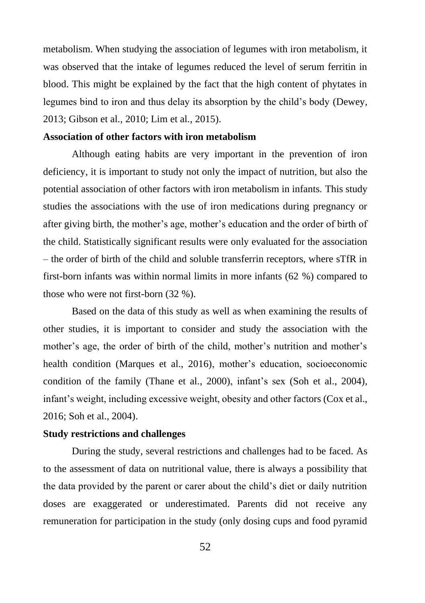metabolism. When studying the association of legumes with iron metabolism, it was observed that the intake of legumes reduced the level of serum ferritin in blood. This might be explained by the fact that the high content of phytates in legumes bind to iron and thus delay its absorption by the child's body (Dewey, 2013; Gibson et al., 2010; Lim et al., 2015).

### **Association of other factors with iron metabolism**

Although eating habits are very important in the prevention of iron deficiency, it is important to study not only the impact of nutrition, but also the potential association of other factors with iron metabolism in infants. This study studies the associations with the use of iron medications during pregnancy or after giving birth, the mother's age, mother's education and the order of birth of the child. Statistically significant results were only evaluated for the association – the order of birth of the child and soluble transferrin receptors, where sTfR in first-born infants was within normal limits in more infants (62 %) compared to those who were not first-born (32 %).

Based on the data of this study as well as when examining the results of other studies, it is important to consider and study the association with the mother's age, the order of birth of the child, mother's nutrition and mother's health condition (Marques et al., 2016), mother's education, socioeconomic condition of the family (Thane et al., 2000), infant's sex (Soh et al., 2004), infant's weight, including excessive weight, obesity and other factors (Cox et al., 2016; Soh et al., 2004).

### **Study restrictions and challenges**

During the study, several restrictions and challenges had to be faced. As to the assessment of data on nutritional value, there is always a possibility that the data provided by the parent or carer about the child's diet or daily nutrition doses are exaggerated or underestimated. Parents did not receive any remuneration for participation in the study (only dosing cups and food pyramid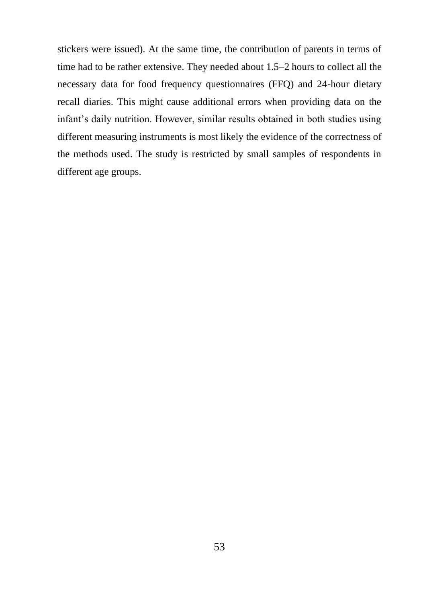<span id="page-53-0"></span>stickers were issued). At the same time, the contribution of parents in terms of time had to be rather extensive. They needed about 1.5–2 hours to collect all the necessary data for food frequency questionnaires (FFQ) and 24-hour dietary recall diaries. This might cause additional errors when providing data on the infant's daily nutrition. However, similar results obtained in both studies using different measuring instruments is most likely the evidence of the correctness of the methods used. The study is restricted by small samples of respondents in different age groups.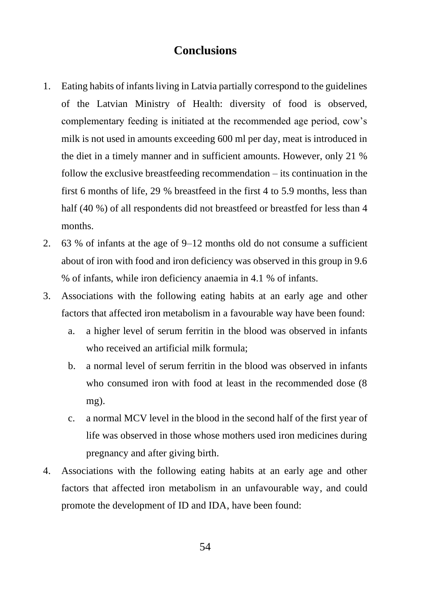### **Conclusions**

- 1. Eating habits of infants living in Latvia partially correspond to the guidelines of the Latvian Ministry of Health: diversity of food is observed, complementary feeding is initiated at the recommended age period, cow's milk is not used in amounts exceeding 600 ml per day, meat is introduced in the diet in a timely manner and in sufficient amounts. However, only 21 % follow the exclusive breastfeeding recommendation – its continuation in the first 6 months of life, 29 % breastfeed in the first 4 to 5.9 months, less than half (40 %) of all respondents did not breastfeed or breastfed for less than 4 months.
- 2. 63 % of infants at the age of 9–12 months old do not consume a sufficient about of iron with food and iron deficiency was observed in this group in 9.6 % of infants, while iron deficiency anaemia in 4.1 % of infants.
- 3. Associations with the following eating habits at an early age and other factors that affected iron metabolism in a favourable way have been found:
	- a. a higher level of serum ferritin in the blood was observed in infants who received an artificial milk formula;
	- b. a normal level of serum ferritin in the blood was observed in infants who consumed iron with food at least in the recommended dose  $(8)$ mg).
	- c. a normal MCV level in the blood in the second half of the first year of life was observed in those whose mothers used iron medicines during pregnancy and after giving birth.
- 4. Associations with the following eating habits at an early age and other factors that affected iron metabolism in an unfavourable way, and could promote the development of ID and IDA, have been found: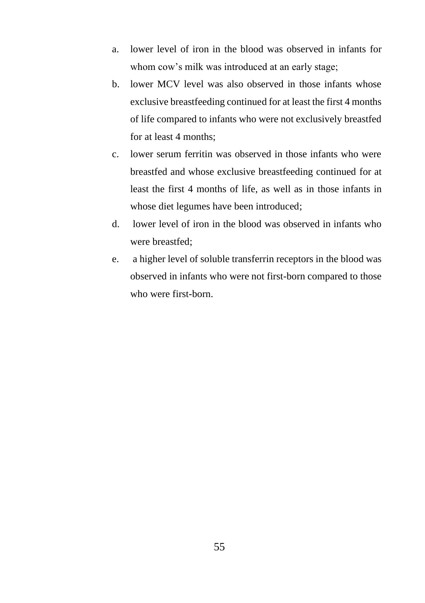- a. lower level of iron in the blood was observed in infants for whom cow's milk was introduced at an early stage;
- b. lower MCV level was also observed in those infants whose exclusive breastfeeding continued for at least the first 4 months of life compared to infants who were not exclusively breastfed for at least 4 months;
- c. lower serum ferritin was observed in those infants who were breastfed and whose exclusive breastfeeding continued for at least the first 4 months of life, as well as in those infants in whose diet legumes have been introduced;
- d. lower level of iron in the blood was observed in infants who were breastfed;
- e. a higher level of soluble transferrin receptors in the blood was observed in infants who were not first-born compared to those who were first-born.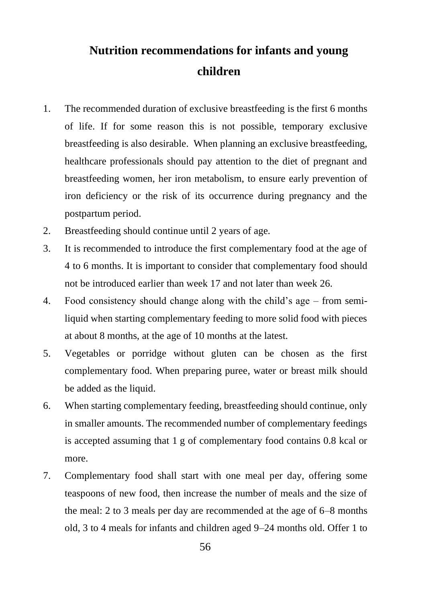# **Nutrition recommendations for infants and young children**

- 1. The recommended duration of exclusive breastfeeding is the first 6 months of life. If for some reason this is not possible, temporary exclusive breastfeeding is also desirable. When planning an exclusive breastfeeding, healthcare professionals should pay attention to the diet of pregnant and breastfeeding women, her iron metabolism, to ensure early prevention of iron deficiency or the risk of its occurrence during pregnancy and the postpartum period.
- 2. Breastfeeding should continue until 2 years of age.
- 3. It is recommended to introduce the first complementary food at the age of 4 to 6 months. It is important to consider that complementary food should not be introduced earlier than week 17 and not later than week 26.
- 4. Food consistency should change along with the child's age from semiliquid when starting complementary feeding to more solid food with pieces at about 8 months, at the age of 10 months at the latest.
- 5. Vegetables or porridge without gluten can be chosen as the first complementary food. When preparing puree, water or breast milk should be added as the liquid.
- 6. When starting complementary feeding, breastfeeding should continue, only in smaller amounts. The recommended number of complementary feedings is accepted assuming that 1 g of complementary food contains 0.8 kcal or more.
- 7. Complementary food shall start with one meal per day, offering some teaspoons of new food, then increase the number of meals and the size of the meal: 2 to 3 meals per day are recommended at the age of 6–8 months old, 3 to 4 meals for infants and children aged 9–24 months old. Offer 1 to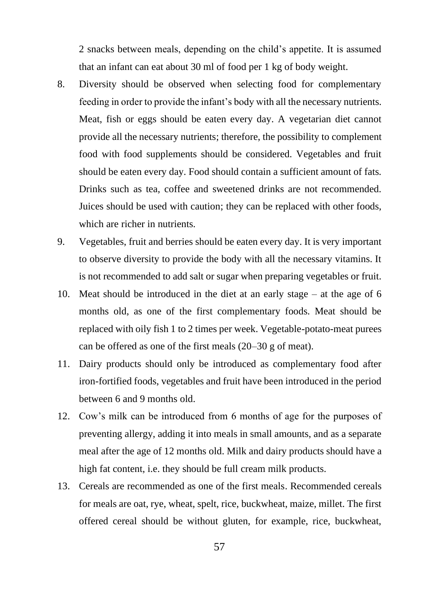2 snacks between meals, depending on the child's appetite. It is assumed that an infant can eat about 30 ml of food per 1 kg of body weight.

- 8. Diversity should be observed when selecting food for complementary feeding in order to provide the infant's body with all the necessary nutrients. Meat, fish or eggs should be eaten every day. A vegetarian diet cannot provide all the necessary nutrients; therefore, the possibility to complement food with food supplements should be considered. Vegetables and fruit should be eaten every day. Food should contain a sufficient amount of fats. Drinks such as tea, coffee and sweetened drinks are not recommended. Juices should be used with caution; they can be replaced with other foods, which are richer in nutrients.
- 9. Vegetables, fruit and berries should be eaten every day. It is very important to observe diversity to provide the body with all the necessary vitamins. It is not recommended to add salt or sugar when preparing vegetables or fruit.
- 10. Meat should be introduced in the diet at an early stage at the age of 6 months old, as one of the first complementary foods. Meat should be replaced with oily fish 1 to 2 times per week. Vegetable-potato-meat purees can be offered as one of the first meals (20–30 g of meat).
- 11. Dairy products should only be introduced as complementary food after iron-fortified foods, vegetables and fruit have been introduced in the period between 6 and 9 months old.
- 12. Cow's milk can be introduced from 6 months of age for the purposes of preventing allergy, adding it into meals in small amounts, and as a separate meal after the age of 12 months old. Milk and dairy products should have a high fat content, i.e. they should be full cream milk products.
- 13. Cereals are recommended as one of the first meals. Recommended cereals for meals are oat, rye, wheat, spelt, rice, buckwheat, maize, millet. The first offered cereal should be without gluten, for example, rice, buckwheat,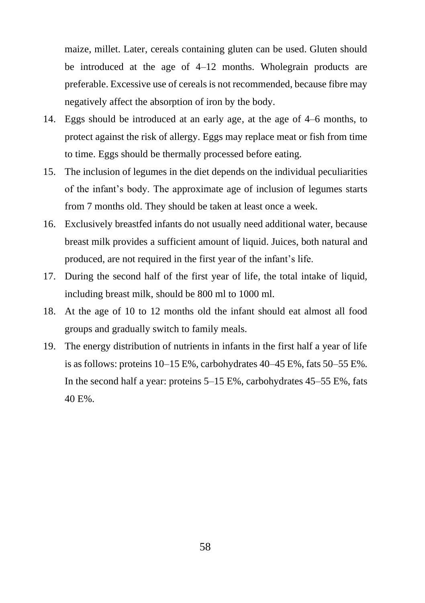maize, millet. Later, cereals containing gluten can be used. Gluten should be introduced at the age of 4–12 months. Wholegrain products are preferable. Excessive use of cereals is not recommended, because fibre may negatively affect the absorption of iron by the body.

- 14. Eggs should be introduced at an early age, at the age of 4–6 months, to protect against the risk of allergy. Eggs may replace meat or fish from time to time. Eggs should be thermally processed before eating.
- 15. The inclusion of legumes in the diet depends on the individual peculiarities of the infant's body. The approximate age of inclusion of legumes starts from 7 months old. They should be taken at least once a week.
- 16. Exclusively breastfed infants do not usually need additional water, because breast milk provides a sufficient amount of liquid. Juices, both natural and produced, are not required in the first year of the infant's life.
- 17. During the second half of the first year of life, the total intake of liquid, including breast milk, should be 800 ml to 1000 ml.
- 18. At the age of 10 to 12 months old the infant should eat almost all food groups and gradually switch to family meals.
- <span id="page-58-0"></span>19. The energy distribution of nutrients in infants in the first half a year of life is as follows: proteins 10–15 E%, carbohydrates 40–45 E%, fats 50–55 E%. In the second half a year: proteins 5–15 E%, carbohydrates 45–55 E%, fats 40 E%.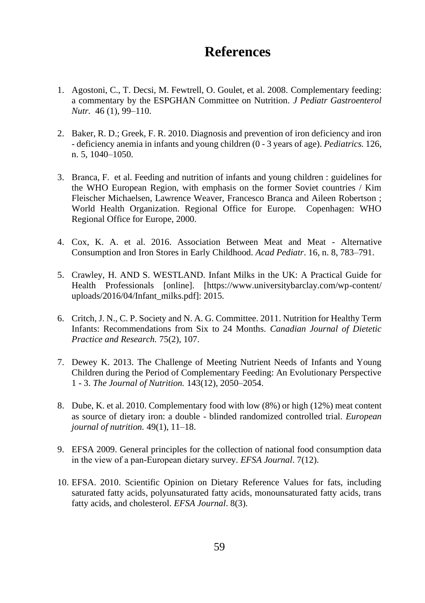## **References**

- 1. Agostoni, C., T. Decsi, M. Fewtrell, O. Goulet, et al. 2008. Complementary feeding: a commentary by the ESPGHAN Committee on Nutrition. *J Pediatr Gastroenterol Nutr.* 46 (1), 99–110.
- 2. Baker, R. D.; Greek, F. R. 2010. Diagnosis and prevention of iron deficiency and iron - deficiency anemia in infants and young children (0 - 3 years of age). *Pediatrics.* 126, n. 5, 1040–1050.
- 3. Branca, F. et al. Feeding and nutrition of infants and young children : guidelines for the WHO European Region, with emphasis on the former Soviet countries / Kim Fleischer Michaelsen, Lawrence Weaver, Francesco Branca and Aileen Robertson ; World Health Organization. Regional Office for Europe. Copenhagen: WHO Regional Office for Europe, 2000.
- 4. Cox, K. A. et al. 2016. Association Between Meat and Meat Alternative Consumption and Iron Stores in Early Childhood. *Acad Pediatr*. 16, n. 8, 783–791.
- 5. Crawley, H. AND S. WESTLAND. Infant Milks in the UK: A Practical Guide for Health Professionals [online]. [https://www.universitybarclay.com/wp-content/ uploads/2016/04/Infant\_milks.pdf]: 2015.
- 6. Critch, J. N., C. P. Society and N. A. G. Committee. 2011. Nutrition for Healthy Term Infants: Recommendations from Six to 24 Months. *Canadian Journal of Dietetic Practice and Research.* 75(2), 107.
- 7. Dewey K. 2013. The Challenge of Meeting Nutrient Needs of Infants and Young Children during the Period of Complementary Feeding: An Evolutionary Perspective 1 - 3. *The Journal of Nutrition.* 143(12), 2050–2054.
- 8. Dube, K. et al. 2010. Complementary food with low (8%) or high (12%) meat content as source of dietary iron: a double - blinded randomized controlled trial. *European journal of nutrition.* 49(1), 11–18.
- 9. EFSA 2009. General principles for the collection of national food consumption data in the view of a pan‐European dietary survey. *EFSA Journal*. 7(12).
- 10. EFSA. 2010. Scientific Opinion on Dietary Reference Values for fats, including saturated fatty acids, polyunsaturated fatty acids, monounsaturated fatty acids, trans fatty acids, and cholesterol. *EFSA Journal*. 8(3).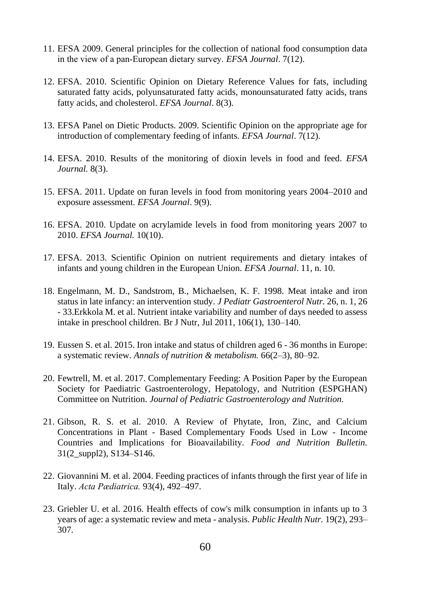- 11. EFSA 2009. General principles for the collection of national food consumption data in the view of a pan‐European dietary survey. *EFSA Journal*. 7(12).
- 12. EFSA. 2010. Scientific Opinion on Dietary Reference Values for fats, including saturated fatty acids, polyunsaturated fatty acids, monounsaturated fatty acids, trans fatty acids, and cholesterol. *EFSA Journal*. 8(3).
- 13. EFSA Panel on Dietic Products. 2009. Scientific Opinion on the appropriate age for introduction of complementary feeding of infants. *EFSA Journal*. 7(12).
- 14. EFSA. 2010. Results of the monitoring of dioxin levels in food and feed. *EFSA Journal.* 8(3).
- 15. EFSA. 2011. Update on furan levels in food from monitoring years 2004–2010 and exposure assessment. *EFSA Journal*. 9(9).
- 16. EFSA. 2010. Update on acrylamide levels in food from monitoring years 2007 to 2010. *EFSA Journal.* 10(10).
- 17. EFSA. 2013. Scientific Opinion on nutrient requirements and dietary intakes of infants and young children in the European Union. *EFSA Journal*. 11, n. 10.
- 18. Engelmann, M. D., Sandstrom, B., Michaelsen, K. F. 1998. Meat intake and iron status in late infancy: an intervention study. *J Pediatr Gastroenterol Nutr.* 26, n. 1, 26 - 33.Erkkola M. et al. Nutrient intake variability and number of days needed to assess intake in preschool children. Br J Nutr, Jul 2011, 106(1), 130–140.
- 19. Eussen S. et al. 2015. Iron intake and status of children aged 6 36 months in Europe: a systematic review. *Annals of nutrition & metabolism.* 66(2–3), 80–92.
- 20. Fewtrell, M. et al. 2017. Complementary Feeding: A Position Paper by the European Society for Paediatric Gastroenterology, Hepatology, and Nutrition (ESPGHAN) Committee on Nutrition. *Journal of Pediatric Gastroenterology and Nutrition.*
- 21. Gibson, R. S. et al. 2010. A Review of Phytate, Iron, Zinc, and Calcium Concentrations in Plant - Based Complementary Foods Used in Low - Income Countries and Implications for Bioavailability. *Food and Nutrition Bulletin.*  31(2\_suppl2), S134–S146.
- 22. Giovannini M. et al. 2004. Feeding practices of infants through the first year of life in Italy. *Acta Pædiatrica.* 93(4), 492–497.
- 23. Griebler U. et al. 2016. Health effects of cow's milk consumption in infants up to 3 years of age: a systematic review and meta - analysis. *Public Health Nutr.* 19(2), 293– 307.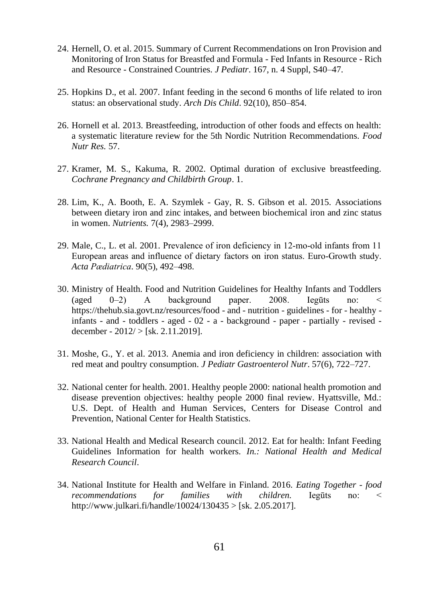- 24. Hernell, O. et al. 2015. Summary of Current Recommendations on Iron Provision and Monitoring of Iron Status for Breastfed and Formula - Fed Infants in Resource - Rich and Resource - Constrained Countries. *J Pediatr*. 167, n. 4 Suppl, S40–47.
- 25. Hopkins D., et al. 2007. Infant feeding in the second 6 months of life related to iron status: an observational study. *Arch Dis Child*. 92(10), 850–854.
- 26. Hornell et al. 2013. Breastfeeding, introduction of other foods and effects on health: a systematic literature review for the 5th Nordic Nutrition Recommendations. *Food Nutr Res.* 57.
- 27. Kramer, M. S., Kakuma, R. 2002. Optimal duration of exclusive breastfeeding. *Cochrane Pregnancy and Childbirth Group*. 1.
- 28. Lim, K., A. Booth, E. A. Szymlek Gay, R. S. Gibson et al. 2015. Associations between dietary iron and zinc intakes, and between biochemical iron and zinc status in women. *Nutrients.* 7(4), 2983–2999.
- 29. Male, C., L. et al. 2001. Prevalence of iron deficiency in 12‐mo‐old infants from 11 European areas and influence of dietary factors on iron status. Euro‐Growth study. *Acta Pædiatrica*. 90(5), 492–498.
- 30. Ministry of Health. Food and Nutrition Guidelines for Healthy Infants and Toddlers (aged 0–2) A background paper. 2008. Iegūts no: < https://thehub.sia.govt.nz/resources/food - and - nutrition - guidelines - for - healthy infants - and - toddlers - aged - 02 - a - background - paper - partially - revised december - 2012/ > [sk. 2.11.2019].
- 31. Moshe, G., Y. et al. 2013. Anemia and iron deficiency in children: association with red meat and poultry consumption. *J Pediatr Gastroenterol Nutr*. 57(6), 722–727.
- 32. National center for health. 2001. Healthy people 2000: national health promotion and disease prevention objectives: healthy people 2000 final review. Hyattsville, Md.: U.S. Dept. of Health and Human Services, Centers for Disease Control and Prevention, National Center for Health Statistics.
- 33. National Health and Medical Research council. 2012. Eat for health: Infant Feeding Guidelines Information for health workers. *In.: National Health and Medical Research Council*.
- 34. National Institute for Health and Welfare in Finland. 2016. *Eating Together - food recommendations for families with children.* Iegūts no: < http://www.julkari.fi/handle/10024/130435 > [sk. 2.05.2017].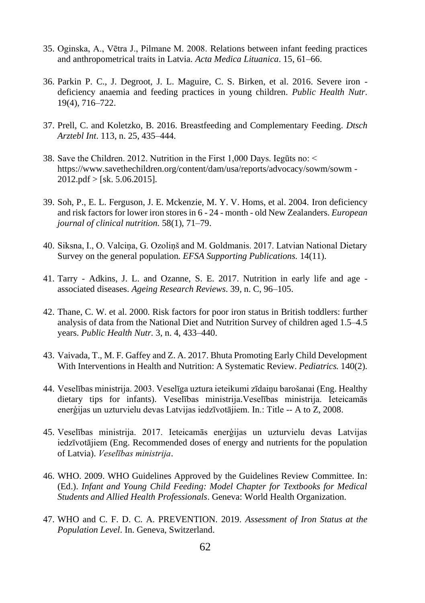- 35. Oginska, A., Vētra J., Pilmane M. 2008. Relations between infant feeding practices and anthropometrical traits in Latvia. *Acta Medica Lituanica*. 15, 61–66.
- 36. Parkin P. C., J. Degroot, J. L. Maguire, C. S. Birken, et al. 2016. Severe iron deficiency anaemia and feeding practices in young children. *Public Health Nutr*. 19(4), 716–722.
- 37. Prell, C. and Koletzko, B. 2016. Breastfeeding and Complementary Feeding. *Dtsch Arztebl Int*. 113, n. 25, 435–444.
- 38. Save the Children. 2012. Nutrition in the First 1,000 Days. Iegūts no: < https://www.savethechildren.org/content/dam/usa/reports/advocacy/sowm/sowm -  $2012.pdf$  > [sk. 5.06.2015].
- 39. Soh, P., E. L. Ferguson, J. E. Mckenzie, M. Y. V. Homs, et al. 2004. Iron deficiency and risk factors for lower iron stores in 6 - 24 - month - old New Zealanders. *European journal of clinical nutrition.* 58(1), 71–79.
- 40. Siksna, I., O. Valciņa, G. Ozoliņš and M. Goldmanis. 2017. Latvian National Dietary Survey on the general population. *EFSA Supporting Publications.* 14(11).
- 41. Tarry Adkins, J. L. and Ozanne, S. E. 2017. Nutrition in early life and age associated diseases. *Ageing Research Reviews*. 39, n. C, 96–105.
- 42. Thane, C. W. et al. 2000. Risk factors for poor iron status in British toddlers: further analysis of data from the National Diet and Nutrition Survey of children aged 1.5–4.5 years. *Public Health Nutr.* 3, n. 4, 433–440.
- 43. Vaivada, T., M. F. Gaffey and Z. A. 2017. Bhuta Promoting Early Child Development With Interventions in Health and Nutrition: A Systematic Review. *Pediatrics.* 140(2).
- 44. Veselības ministrija. 2003. Veselīga uztura ieteikumi zīdaiņu barošanai (Eng. Healthy dietary tips for infants). Veselības ministrija.Veselības ministrija. Ieteicamās enerģijas un uzturvielu devas Latvijas iedzīvotājiem. In.: Title -- A to Z, 2008.
- 45. Veselības ministrija. 2017. Ieteicamās enerģijas un uzturvielu devas Latvijas iedzīvotājiem (Eng. Recommended doses of energy and nutrients for the population of Latvia). *Veselības ministrija*.
- 46. WHO. 2009. WHO Guidelines Approved by the Guidelines Review Committee. In: (Ed.). *Infant and Young Child Feeding: Model Chapter for Textbooks for Medical Students and Allied Health Professionals*. Geneva: World Health Organization.
- 47. WHO and C. F. D. C. A. PREVENTION. 2019. *Assessment of Iron Status at the Population Level*. In. Geneva, Switzerland.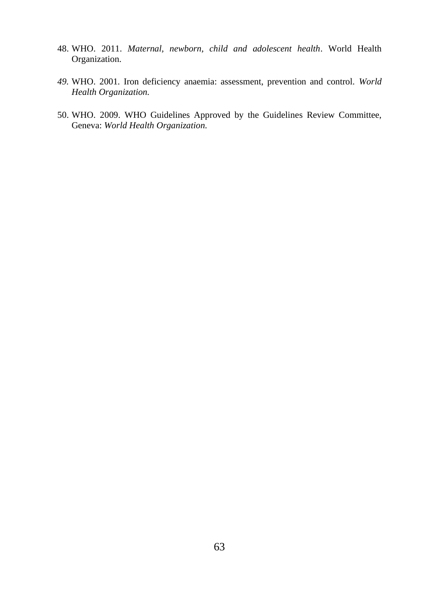- 48. WHO. 2011. *Maternal, newborn, child and adolescent health*. World Health Organization.
- *49.* WHO. 2001. Iron deficiency anaemia: assessment, prevention and control. *World Health Organization.*
- <span id="page-63-0"></span>50. WHO. 2009. WHO Guidelines Approved by the Guidelines Review Committee, Geneva: *World Health Organization.*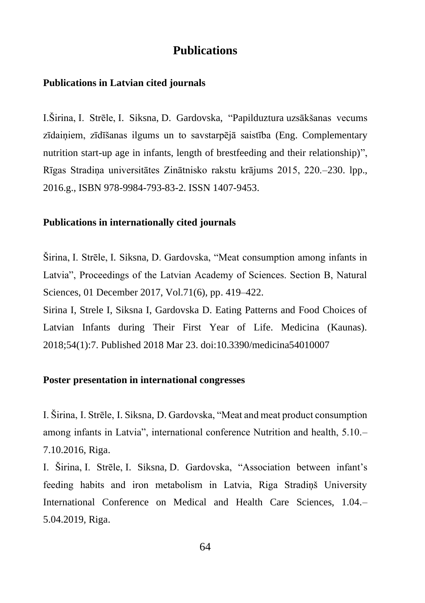### **Publications**

### **Publications in Latvian cited journals**

I.Širina, I. Strēle, I. Siksna, D. Gardovska, "Papilduztura uzsākšanas vecums zīdaiņiem, zīdīšanas ilgums un to savstarpējā saistība (Eng. Complementary nutrition start-up age in infants, length of brestfeeding and their relationship)", Rīgas Stradiņa universitātes Zinātnisko rakstu krājums 2015, 220.–230. lpp., 2016.g., ISBN 978-9984-793-83-2. ISSN 1407-9453.

### **Publications in internationally cited journals**

Širina, I. Strēle, I. Siksna, D. Gardovska, "Meat consumption among infants in Latvia", Proceedings of the Latvian Academy of Sciences. Section B, Natural Sciences, 01 December 2017, Vol.71(6), pp. 419–422.

Sirina I, Strele I, Siksna I, Gardovska D. Eating Patterns and Food Choices of Latvian Infants during Their First Year of Life. Medicina (Kaunas). 2018;54(1):7. Published 2018 Mar 23. doi:10.3390/medicina54010007

#### **Poster presentation in international congresses**

I. Širina, I. Strēle, I. Siksna, D. Gardovska, "Meat and meat product consumption among infants in Latvia", international conference Nutrition and health, 5.10.– 7.10.2016, Riga.

I. Širina, I. Strēle, I. Siksna, D. Gardovska, "Association between infant's feeding habits and iron metabolism in Latvia, Riga Stradiņš University International Conference on Medical and Health Care Sciences, 1.04.– 5.04.2019, Riga.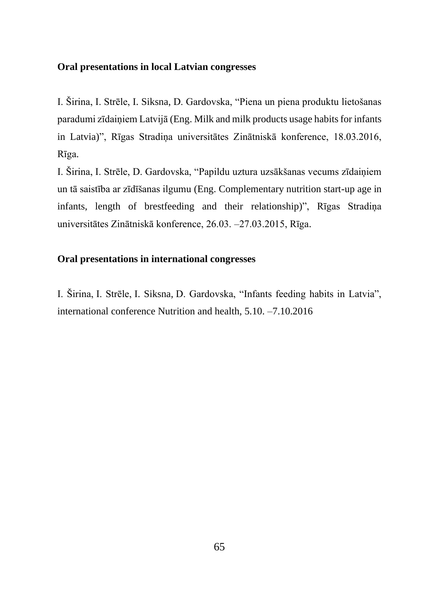### **Oral presentations in local Latvian congresses**

I. Širina, I. Strēle, I. Siksna, D. Gardovska, "Piena un piena produktu lietošanas paradumi zīdaiņiem Latvijā (Eng. Milk and milk products usage habits for infants in Latvia)", Rīgas Stradiņa universitātes Zinātniskā konference, 18.03.2016, Rīga.

I. Širina, I. Strēle, D. Gardovska, "Papildu uztura uzsākšanas vecums zīdaiņiem un tā saistība ar zīdīšanas ilgumu (Eng. Complementary nutrition start-up age in infants, length of brestfeeding and their relationship)", Rīgas Stradiņa universitātes Zinātniskā konference, 26.03. –27.03.2015, Rīga.

### **Oral presentations in international congresses**

I. Širina, I. Strēle, I. Siksna, D. Gardovska, "Infants feeding habits in Latvia", international conference Nutrition and health, 5.10. –7.10.2016